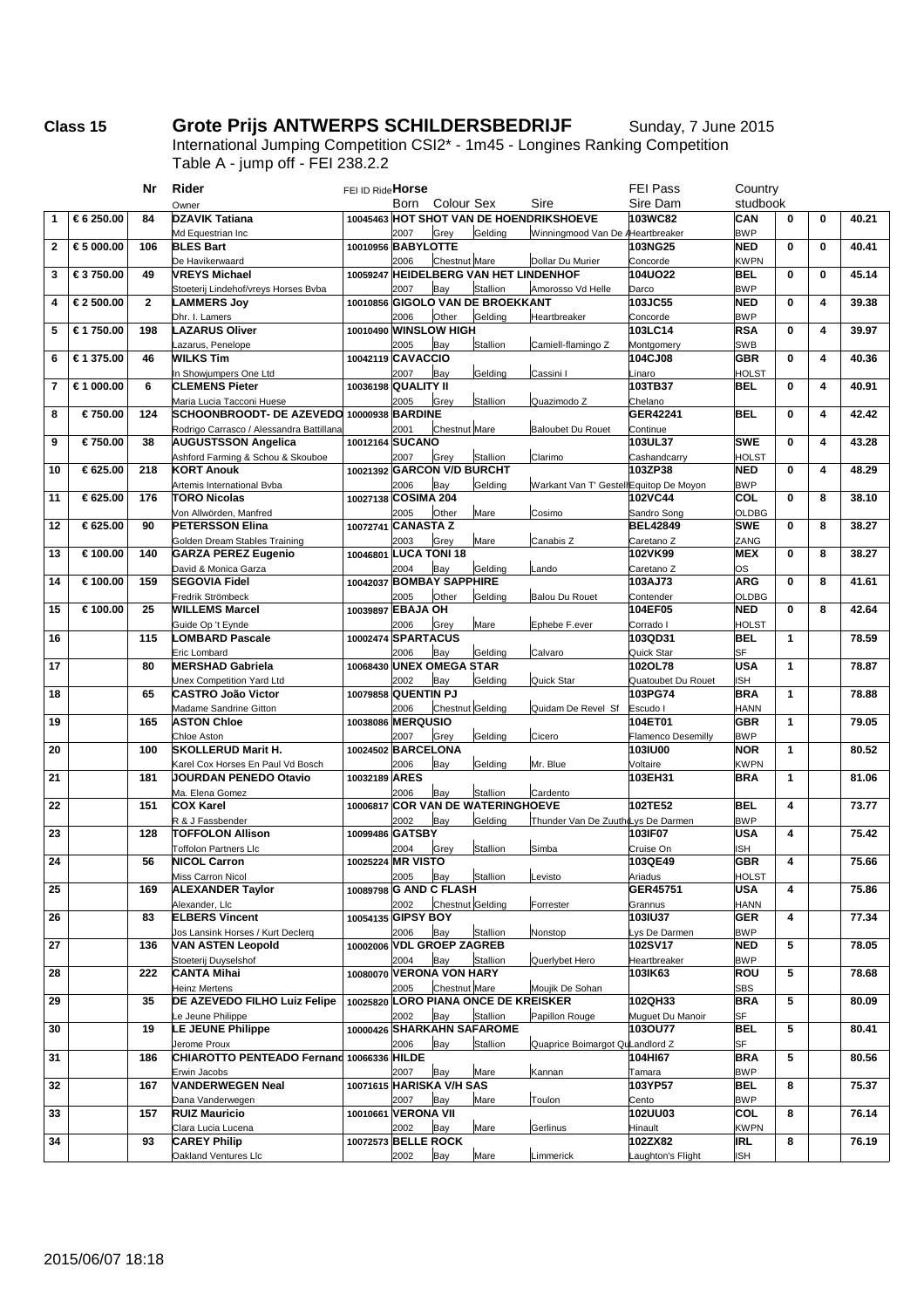## **Class 15 •• Grote Prijs ANTWERPS SCHILDERSBEDRIJF** Sunday, 7 June 2015

International Jumping Competition CSI2\* - 1m45 - Longines Ranking Competition Table A - jump off - FEI 238.2.2

| Sire<br>Sire Dam<br>studbook<br>Born<br>Colour Sex<br>Owner<br>10045463 HOT SHOT VAN DE HOENDRIKSHOEVE<br>103WC82<br>CAN<br>€ 6 250.00<br>84<br><b>DZAVIK Tatiana</b><br>$\bf{0}$<br>$\bf{0}$<br>40.21<br>1<br>Md Equestrian Inc<br>2007<br>Grey<br>Gelding<br>Winningmood Van De AHeartbreaker<br><b>BWP</b><br>$\mathbf{2}$<br>10010956 BABYLOTTE<br>103NG25<br><b>NED</b><br>$\bf{0}$<br>€ 5 000.00<br>106<br><b>BLES Bart</b><br>$\mathbf{0}$<br>40.41<br><b>Chestnut Mare</b><br>De Havikerwaard<br>2006<br>Dollar Du Murier<br><b>KWPN</b><br>Concorde<br>10059247 HEIDELBERG VAN HET LINDENHOF<br><b>104UO22</b><br><b>BEL</b><br>$\mathbf 0$<br>45.14<br>3<br>€ 3750.00<br>49<br><b>VREYS Michael</b><br>$\bf{0}$<br><b>Stallion</b><br>Stoeterij Lindehof/vreys Horses Bvba<br>2007<br><b>BWP</b><br>Bay<br>Amorosso Vd Helle<br>Darco<br>$\overline{2}$<br>10010856 GIGOLO VAN DE BROEKKANT<br>103JC55<br><b>NED</b><br>$\mathbf 0$<br>4<br>€ 2 500.00<br>4<br>39.38<br><b>LAMMERS Joy</b><br>Other<br>Dhr. I. Lamers<br>2006<br>Gelding<br>Heartbreaker<br>Concorde<br><b>BWP</b><br>€ 1 750.00<br><b>LAZARUS Oliver</b><br>10010490 WINSLOW HIGH<br>103LC14<br><b>RSA</b><br>$\mathbf 0$<br>5<br>198<br>4<br>39.97<br>azarus, Penelope<br>2005<br><b>Stallion</b><br>Camiell-flamingo Z<br><b>SWB</b><br>Bay<br>Montgomery<br>€ 1 375.00<br><b>WILKS Tim</b><br>10042119 CAVACCIO<br>104CJ08<br><b>GBR</b><br>$\bf{0}$<br>40.36<br>6<br>46<br>4<br>In Showjumpers One Ltd<br>2007<br>Gelding<br><b>HOLST</b><br>Bay<br>Cassini I<br>_inaro<br><b>CLEMENS Pieter</b><br>10036198 QUALITY II<br>103TB37<br>BEL<br>$\mathbf 0$<br>$\overline{7}$<br>€ 1 000.00<br>6<br>4<br>40.91<br>Maria Lucia Tacconi Huese<br>2005<br>Stallion<br>Quazimodo Z<br>Grey<br>Chelano<br>€ 750.00<br><b>SCHOONBROODT- DE AZEVEDO</b><br>10000938 BARDINE<br>GER42241<br><b>BEL</b><br>$\bf{0}$<br>42.42<br>8<br>124<br>4<br><b>Chestnut Mare</b><br>Rodrigo Carrasco / Alessandra Battillana<br>2001<br><b>Baloubet Du Rouet</b><br>Continue<br>€ 750.00<br>10012164 SUCANO<br>103UL37<br><b>SWE</b><br>$\bf{0}$<br>43.28<br>9<br>38<br><b>AUGUSTSSON Angelica</b><br>4<br>Ashford Farming & Schou & Skouboe<br>2007<br>Stallion<br>Clarimo<br><b>HOLST</b><br>Grey<br>Cashandcarry<br>10021392 GARCON V/D BURCHT<br>103ZP38<br><b>NED</b><br>$\mathbf 0$<br>10<br>€ 625.00<br>218<br><b>KORT Anouk</b><br>4<br>48.29<br>Gelding<br>2006<br>Warkant Van T' GestellEquitop De Moyon<br><b>BWP</b><br>Artemis International Byba<br>Bay<br>€ 625.00<br>10027138 COSIMA 204<br>102VC44<br>COL<br>$\bf{0}$<br>11<br>176<br><b>TORO Nicolas</b><br>8<br>38.10<br>Von Allwörden, Manfred<br>2005<br>Other<br>Mare<br>Sandro Song<br><b>OLDBG</b><br>Cosimo<br>€ 625.00<br>10072741 CANASTA Z<br><b>BEL42849</b><br><b>SWE</b><br>$\mathbf{0}$<br>12<br>90<br><b>PETERSSON Elina</b><br>8<br>38.27<br>Golden Dream Stables Training<br>2003<br>Canabis Z<br>ZANG<br>Grey<br>Mare<br>Caretano Z<br><b>LUCA TONI 18</b><br>102VK99<br><b>MEX</b><br>$\bf{0}$<br>13<br>€ 100.00<br>140<br><b>GARZA PEREZ Eugenio</b><br>8<br>38.27<br>10046801<br>David & Monica Garza<br>2004<br>Gelding<br>Bay<br>.ando<br>Caretano Z<br>os<br><b>BOMBAY SAPPHIRE</b><br>103AJ73<br><b>ARG</b><br>$\bf{0}$<br>14<br>€ 100.00<br>159<br><b>SEGOVIA Fidel</b><br>8<br>41.61<br>10042037<br>Gelding<br>Fredrik Strömbeck<br>2005<br>Other<br><b>Balou Du Rouet</b><br><b>OLDBG</b><br>Contender<br>10039897 EBAJA OH<br><b>NED</b><br>$\bf{0}$<br>42.64<br>15<br>€ 100.00<br>25<br><b>WILLEMS Marcel</b><br>104EF05<br>8<br>Guide Op 't Eynde<br>2006<br>Mare<br>Ephebe F.ever<br>Grey<br>Corrado I<br>HOLST<br>115<br>10002474 SPARTACUS<br>103QD31<br><b>BEL</b><br>$\mathbf{1}$<br>16<br><b>LOMBARD Pascale</b><br>78.59<br>Eric Lombard<br>2006<br>Gelding<br>Calvaro<br>Quick Star<br><b>SF</b><br>Bay<br>10068430 UNEX OMEGA STAR<br><b>USA</b><br>$\mathbf{1}$<br>17<br>80<br><b>MERSHAD Gabriela</b><br>102OL78<br>78.87<br>Unex Competition Yard Ltd<br>2002<br>Gelding<br>Quick Star<br><b>ISH</b><br>Bay<br>Quatoubet Du Rouet<br>65<br>10079858 QUENTIN PJ<br>103PG74<br><b>BRA</b><br>1<br>18<br><b>CASTRO João Victor</b><br>78.88<br>Chestnut Gelding<br>Madame Sandrine Gitton<br>2006<br>Quidam De Revel Sf<br>Escudo I<br><b>HANN</b><br>10038086 MERQUSIO<br>104ET01<br><b>GBR</b><br>1<br>19<br>165<br><b>ASTON Chloe</b><br>79.05<br>Chloe Aston<br>2007<br>Grey<br>Gelding<br><b>BWP</b><br>Cicero<br><b>Flamenco Desemilly</b><br>20<br>10024502 BARCELONA<br><b>103IU00</b><br><b>NOR</b><br>$\mathbf{1}$<br>80.52<br>100<br><b>SKOLLERUD Marit H.</b><br>Karel Cox Horses En Paul Vd Bosch<br>2006<br>Gelding<br>Mr. Blue<br>Voltaire<br><b>KWPN</b><br>Bay<br>JOURDAN PENEDO Otavio<br>10032189 ARES<br>103EH31<br><b>BRA</b><br>1<br>21<br>181<br>81.06<br>Ma. Elena Gomez<br>2006<br><b>Stallion</b><br>Cardento<br>Bay<br>22<br>151<br><b>COX Karel</b><br><b>COR VAN DE WATERINGHOEVE</b><br>102TE52<br><b>BEL</b><br>$\overline{\mathbf{4}}$<br>73.77<br>10006817<br>Gelding<br>R & J Fassbender<br>2002<br>Thunder Van De ZuuthdLys De Darmen<br><b>BWP</b><br>Bay<br><b>USA</b><br>$\overline{\mathbf{4}}$<br>23<br>128<br><b>TOFFOLON Allison</b><br>10099486 GATSBY<br>103IF07<br>75.42<br><b>Toffolon Partners Llc</b><br>2004<br>Stallion<br>Simba<br>Cruise On<br>ISH<br>Grey<br>24<br>10025224 MR VISTO<br><b>GBR</b><br>$\overline{\mathbf{4}}$<br>75.66<br>56<br><b>NICOL Carron</b><br>103QE49<br>Stallion<br>2005 Bay<br>Miss Carron Nicol<br>Levisto<br>HOLST<br>Ariadus<br>25<br><b>ALEXANDER Taylor</b><br>GER45751<br><b>USA</b><br>4<br>75.86<br>169<br>10089798 G AND C FLASH<br><b>Chestnut</b> Gelding<br>Alexander, Llc<br>2002<br>Grannus<br><b>HANN</b><br>Forrester<br><b>ELBERS Vincent</b><br>10054135 GIPSY BOY<br>103IU37<br>26<br>83<br><b>GER</b><br>4<br>77.34<br>Jos Lansink Horses / Kurt Declerq<br>2006<br>Stallion<br>Nonstop<br>ys De Darmen<br><b>BWP</b><br>Bay<br>10002006 VDL GROEP ZAGREB<br>102SV17<br>5<br>27<br><b>VAN ASTEN Leopold</b><br><b>NED</b><br>78.05<br>136<br>2004<br>Stoeterij Duyselshof<br>Bay<br>Stallion<br>Querlybet Hero<br>Heartbreaker<br><b>BWP</b><br>10080070 VERONA VON HARY<br>ROU<br>5<br><b>CANTA Mihai</b><br>103IK63<br>28<br>222<br>78.68<br>Chestnut Mare<br><b>Heinz Mertens</b><br>2005<br>Moujik De Sohan<br>SBS<br>10025820 LORO PIANA ONCE DE KREISKER<br>102QH33<br><b>BRA</b><br>5<br>29<br>35<br>DE AZEVEDO FILHO Luiz Felipe<br>80.09<br>2002<br>Bay<br>Stallion<br>Papillon Rouge<br>e Jeune Philippe<br>Muguet Du Manoir<br>SF<br>10000426 SHARKAHN SAFAROME<br>103OU77<br><b>BEL</b><br>5<br>LE JEUNE Philippe<br>30<br>19<br>80.41<br>2006<br>Bay<br>Stallion<br>SF<br>Jerome Proux<br>Quaprice Boimargot QuLandlord Z<br>CHIAROTTO PENTEADO Fernand 10066336 HILDE<br><b>BRA</b><br>5<br>31<br>104HI67<br>80.56<br>186<br>2007<br>Erwin Jacobs<br>Mare<br>Kannan<br><b>BWP</b><br>Tamara<br>Bay<br><b>VANDERWEGEN Neal</b><br>10071615 HARISKA V/H SAS<br><b>BEL</b><br>32<br>103YP57<br>8<br>75.37<br>167<br>Dana Vanderwegen<br>2007<br>Bay<br>Mare<br>Toulon<br><b>BWP</b><br>Cento<br>102UU03<br>COL<br>33<br>157<br><b>RUIZ Mauricio</b><br>10010661 VERONA VII<br>8<br>76.14<br>Clara Lucia Lucena<br>2002<br>Bay<br>Mare<br>Hinault<br><b>KWPN</b><br>Gerlinus<br>102ZX82<br>34<br>93<br><b>CAREY Philip</b><br>10072573 BELLE ROCK<br>IRL<br>8<br>76.19<br>2002<br>Mare<br>Oakland Ventures Llc<br>Bay<br>Limmerick<br>Laughton's Flight<br><b>ISH</b> |  | Nr | Rider | FEI ID Ride Horse |  |  | FEI Pass | Country |  |  |
|-------------------------------------------------------------------------------------------------------------------------------------------------------------------------------------------------------------------------------------------------------------------------------------------------------------------------------------------------------------------------------------------------------------------------------------------------------------------------------------------------------------------------------------------------------------------------------------------------------------------------------------------------------------------------------------------------------------------------------------------------------------------------------------------------------------------------------------------------------------------------------------------------------------------------------------------------------------------------------------------------------------------------------------------------------------------------------------------------------------------------------------------------------------------------------------------------------------------------------------------------------------------------------------------------------------------------------------------------------------------------------------------------------------------------------------------------------------------------------------------------------------------------------------------------------------------------------------------------------------------------------------------------------------------------------------------------------------------------------------------------------------------------------------------------------------------------------------------------------------------------------------------------------------------------------------------------------------------------------------------------------------------------------------------------------------------------------------------------------------------------------------------------------------------------------------------------------------------------------------------------------------------------------------------------------------------------------------------------------------------------------------------------------------------------------------------------------------------------------------------------------------------------------------------------------------------------------------------------------------------------------------------------------------------------------------------------------------------------------------------------------------------------------------------------------------------------------------------------------------------------------------------------------------------------------------------------------------------------------------------------------------------------------------------------------------------------------------------------------------------------------------------------------------------------------------------------------------------------------------------------------------------------------------------------------------------------------------------------------------------------------------------------------------------------------------------------------------------------------------------------------------------------------------------------------------------------------------------------------------------------------------------------------------------------------------------------------------------------------------------------------------------------------------------------------------------------------------------------------------------------------------------------------------------------------------------------------------------------------------------------------------------------------------------------------------------------------------------------------------------------------------------------------------------------------------------------------------------------------------------------------------------------------------------------------------------------------------------------------------------------------------------------------------------------------------------------------------------------------------------------------------------------------------------------------------------------------------------------------------------------------------------------------------------------------------------------------------------------------------------------------------------------------------------------------------------------------------------------------------------------------------------------------------------------------------------------------------------------------------------------------------------------------------------------------------------------------------------------------------------------------------------------------------------------------------------------------------------------------------------------------------------------------------------------------------------------------------------------------------------------------------------------------------------------------------------------------------------------------------------------------------------------------------------------------------------------------------------------------------------------------------------------------------------------------------------------------------------------------------------------------------------------------------------------------------------------------------------------------------------------------------------------------------------------------------------------------------------------------------------------------------------------------------------------------------------------------------------------------------------------------------------------------------------------------------------------------------------------------------------------------------------------------------------------------------------------------------------------------------------------------------------------------------------------------------------------------------------------------------------------------------------------------------------------------------------------------------------------------------------------------------------------------------------------------------------------------------------------------------------------------------------------------------------------------------------------------------------------------------------------------------------------------------------------------------------------------------------------------------------------------------------------------------------------------------------------------------------------------------------------------------------------------------------------------------------------------------------------------------------------------------------------------------------------------------------------------------------------------------------------------------------------------------------------------------------------------------------------------------------------------------------------------------------------------|--|----|-------|-------------------|--|--|----------|---------|--|--|
|                                                                                                                                                                                                                                                                                                                                                                                                                                                                                                                                                                                                                                                                                                                                                                                                                                                                                                                                                                                                                                                                                                                                                                                                                                                                                                                                                                                                                                                                                                                                                                                                                                                                                                                                                                                                                                                                                                                                                                                                                                                                                                                                                                                                                                                                                                                                                                                                                                                                                                                                                                                                                                                                                                                                                                                                                                                                                                                                                                                                                                                                                                                                                                                                                                                                                                                                                                                                                                                                                                                                                                                                                                                                                                                                                                                                                                                                                                                                                                                                                                                                                                                                                                                                                                                                                                                                                                                                                                                                                                                                                                                                                                                                                                                                                                                                                                                                                                                                                                                                                                                                                                                                                                                                                                                                                                                                                                                                                                                                                                                                                                                                                                                                                                                                                                                                                                                                                                                                                                                                                                                                                                                                                                                                                                                                                                                                                                                                                                                                                                                                                                                                                                                                                                                                                                                                                                                                                                                                                                                                                                                                                                                                                                                                                                                                                                                                                                                                                                                                                                                                                       |  |    |       |                   |  |  |          |         |  |  |
|                                                                                                                                                                                                                                                                                                                                                                                                                                                                                                                                                                                                                                                                                                                                                                                                                                                                                                                                                                                                                                                                                                                                                                                                                                                                                                                                                                                                                                                                                                                                                                                                                                                                                                                                                                                                                                                                                                                                                                                                                                                                                                                                                                                                                                                                                                                                                                                                                                                                                                                                                                                                                                                                                                                                                                                                                                                                                                                                                                                                                                                                                                                                                                                                                                                                                                                                                                                                                                                                                                                                                                                                                                                                                                                                                                                                                                                                                                                                                                                                                                                                                                                                                                                                                                                                                                                                                                                                                                                                                                                                                                                                                                                                                                                                                                                                                                                                                                                                                                                                                                                                                                                                                                                                                                                                                                                                                                                                                                                                                                                                                                                                                                                                                                                                                                                                                                                                                                                                                                                                                                                                                                                                                                                                                                                                                                                                                                                                                                                                                                                                                                                                                                                                                                                                                                                                                                                                                                                                                                                                                                                                                                                                                                                                                                                                                                                                                                                                                                                                                                                                                       |  |    |       |                   |  |  |          |         |  |  |
|                                                                                                                                                                                                                                                                                                                                                                                                                                                                                                                                                                                                                                                                                                                                                                                                                                                                                                                                                                                                                                                                                                                                                                                                                                                                                                                                                                                                                                                                                                                                                                                                                                                                                                                                                                                                                                                                                                                                                                                                                                                                                                                                                                                                                                                                                                                                                                                                                                                                                                                                                                                                                                                                                                                                                                                                                                                                                                                                                                                                                                                                                                                                                                                                                                                                                                                                                                                                                                                                                                                                                                                                                                                                                                                                                                                                                                                                                                                                                                                                                                                                                                                                                                                                                                                                                                                                                                                                                                                                                                                                                                                                                                                                                                                                                                                                                                                                                                                                                                                                                                                                                                                                                                                                                                                                                                                                                                                                                                                                                                                                                                                                                                                                                                                                                                                                                                                                                                                                                                                                                                                                                                                                                                                                                                                                                                                                                                                                                                                                                                                                                                                                                                                                                                                                                                                                                                                                                                                                                                                                                                                                                                                                                                                                                                                                                                                                                                                                                                                                                                                                                       |  |    |       |                   |  |  |          |         |  |  |
|                                                                                                                                                                                                                                                                                                                                                                                                                                                                                                                                                                                                                                                                                                                                                                                                                                                                                                                                                                                                                                                                                                                                                                                                                                                                                                                                                                                                                                                                                                                                                                                                                                                                                                                                                                                                                                                                                                                                                                                                                                                                                                                                                                                                                                                                                                                                                                                                                                                                                                                                                                                                                                                                                                                                                                                                                                                                                                                                                                                                                                                                                                                                                                                                                                                                                                                                                                                                                                                                                                                                                                                                                                                                                                                                                                                                                                                                                                                                                                                                                                                                                                                                                                                                                                                                                                                                                                                                                                                                                                                                                                                                                                                                                                                                                                                                                                                                                                                                                                                                                                                                                                                                                                                                                                                                                                                                                                                                                                                                                                                                                                                                                                                                                                                                                                                                                                                                                                                                                                                                                                                                                                                                                                                                                                                                                                                                                                                                                                                                                                                                                                                                                                                                                                                                                                                                                                                                                                                                                                                                                                                                                                                                                                                                                                                                                                                                                                                                                                                                                                                                                       |  |    |       |                   |  |  |          |         |  |  |
|                                                                                                                                                                                                                                                                                                                                                                                                                                                                                                                                                                                                                                                                                                                                                                                                                                                                                                                                                                                                                                                                                                                                                                                                                                                                                                                                                                                                                                                                                                                                                                                                                                                                                                                                                                                                                                                                                                                                                                                                                                                                                                                                                                                                                                                                                                                                                                                                                                                                                                                                                                                                                                                                                                                                                                                                                                                                                                                                                                                                                                                                                                                                                                                                                                                                                                                                                                                                                                                                                                                                                                                                                                                                                                                                                                                                                                                                                                                                                                                                                                                                                                                                                                                                                                                                                                                                                                                                                                                                                                                                                                                                                                                                                                                                                                                                                                                                                                                                                                                                                                                                                                                                                                                                                                                                                                                                                                                                                                                                                                                                                                                                                                                                                                                                                                                                                                                                                                                                                                                                                                                                                                                                                                                                                                                                                                                                                                                                                                                                                                                                                                                                                                                                                                                                                                                                                                                                                                                                                                                                                                                                                                                                                                                                                                                                                                                                                                                                                                                                                                                                                       |  |    |       |                   |  |  |          |         |  |  |
|                                                                                                                                                                                                                                                                                                                                                                                                                                                                                                                                                                                                                                                                                                                                                                                                                                                                                                                                                                                                                                                                                                                                                                                                                                                                                                                                                                                                                                                                                                                                                                                                                                                                                                                                                                                                                                                                                                                                                                                                                                                                                                                                                                                                                                                                                                                                                                                                                                                                                                                                                                                                                                                                                                                                                                                                                                                                                                                                                                                                                                                                                                                                                                                                                                                                                                                                                                                                                                                                                                                                                                                                                                                                                                                                                                                                                                                                                                                                                                                                                                                                                                                                                                                                                                                                                                                                                                                                                                                                                                                                                                                                                                                                                                                                                                                                                                                                                                                                                                                                                                                                                                                                                                                                                                                                                                                                                                                                                                                                                                                                                                                                                                                                                                                                                                                                                                                                                                                                                                                                                                                                                                                                                                                                                                                                                                                                                                                                                                                                                                                                                                                                                                                                                                                                                                                                                                                                                                                                                                                                                                                                                                                                                                                                                                                                                                                                                                                                                                                                                                                                                       |  |    |       |                   |  |  |          |         |  |  |
|                                                                                                                                                                                                                                                                                                                                                                                                                                                                                                                                                                                                                                                                                                                                                                                                                                                                                                                                                                                                                                                                                                                                                                                                                                                                                                                                                                                                                                                                                                                                                                                                                                                                                                                                                                                                                                                                                                                                                                                                                                                                                                                                                                                                                                                                                                                                                                                                                                                                                                                                                                                                                                                                                                                                                                                                                                                                                                                                                                                                                                                                                                                                                                                                                                                                                                                                                                                                                                                                                                                                                                                                                                                                                                                                                                                                                                                                                                                                                                                                                                                                                                                                                                                                                                                                                                                                                                                                                                                                                                                                                                                                                                                                                                                                                                                                                                                                                                                                                                                                                                                                                                                                                                                                                                                                                                                                                                                                                                                                                                                                                                                                                                                                                                                                                                                                                                                                                                                                                                                                                                                                                                                                                                                                                                                                                                                                                                                                                                                                                                                                                                                                                                                                                                                                                                                                                                                                                                                                                                                                                                                                                                                                                                                                                                                                                                                                                                                                                                                                                                                                                       |  |    |       |                   |  |  |          |         |  |  |
|                                                                                                                                                                                                                                                                                                                                                                                                                                                                                                                                                                                                                                                                                                                                                                                                                                                                                                                                                                                                                                                                                                                                                                                                                                                                                                                                                                                                                                                                                                                                                                                                                                                                                                                                                                                                                                                                                                                                                                                                                                                                                                                                                                                                                                                                                                                                                                                                                                                                                                                                                                                                                                                                                                                                                                                                                                                                                                                                                                                                                                                                                                                                                                                                                                                                                                                                                                                                                                                                                                                                                                                                                                                                                                                                                                                                                                                                                                                                                                                                                                                                                                                                                                                                                                                                                                                                                                                                                                                                                                                                                                                                                                                                                                                                                                                                                                                                                                                                                                                                                                                                                                                                                                                                                                                                                                                                                                                                                                                                                                                                                                                                                                                                                                                                                                                                                                                                                                                                                                                                                                                                                                                                                                                                                                                                                                                                                                                                                                                                                                                                                                                                                                                                                                                                                                                                                                                                                                                                                                                                                                                                                                                                                                                                                                                                                                                                                                                                                                                                                                                                                       |  |    |       |                   |  |  |          |         |  |  |
|                                                                                                                                                                                                                                                                                                                                                                                                                                                                                                                                                                                                                                                                                                                                                                                                                                                                                                                                                                                                                                                                                                                                                                                                                                                                                                                                                                                                                                                                                                                                                                                                                                                                                                                                                                                                                                                                                                                                                                                                                                                                                                                                                                                                                                                                                                                                                                                                                                                                                                                                                                                                                                                                                                                                                                                                                                                                                                                                                                                                                                                                                                                                                                                                                                                                                                                                                                                                                                                                                                                                                                                                                                                                                                                                                                                                                                                                                                                                                                                                                                                                                                                                                                                                                                                                                                                                                                                                                                                                                                                                                                                                                                                                                                                                                                                                                                                                                                                                                                                                                                                                                                                                                                                                                                                                                                                                                                                                                                                                                                                                                                                                                                                                                                                                                                                                                                                                                                                                                                                                                                                                                                                                                                                                                                                                                                                                                                                                                                                                                                                                                                                                                                                                                                                                                                                                                                                                                                                                                                                                                                                                                                                                                                                                                                                                                                                                                                                                                                                                                                                                                       |  |    |       |                   |  |  |          |         |  |  |
|                                                                                                                                                                                                                                                                                                                                                                                                                                                                                                                                                                                                                                                                                                                                                                                                                                                                                                                                                                                                                                                                                                                                                                                                                                                                                                                                                                                                                                                                                                                                                                                                                                                                                                                                                                                                                                                                                                                                                                                                                                                                                                                                                                                                                                                                                                                                                                                                                                                                                                                                                                                                                                                                                                                                                                                                                                                                                                                                                                                                                                                                                                                                                                                                                                                                                                                                                                                                                                                                                                                                                                                                                                                                                                                                                                                                                                                                                                                                                                                                                                                                                                                                                                                                                                                                                                                                                                                                                                                                                                                                                                                                                                                                                                                                                                                                                                                                                                                                                                                                                                                                                                                                                                                                                                                                                                                                                                                                                                                                                                                                                                                                                                                                                                                                                                                                                                                                                                                                                                                                                                                                                                                                                                                                                                                                                                                                                                                                                                                                                                                                                                                                                                                                                                                                                                                                                                                                                                                                                                                                                                                                                                                                                                                                                                                                                                                                                                                                                                                                                                                                                       |  |    |       |                   |  |  |          |         |  |  |
|                                                                                                                                                                                                                                                                                                                                                                                                                                                                                                                                                                                                                                                                                                                                                                                                                                                                                                                                                                                                                                                                                                                                                                                                                                                                                                                                                                                                                                                                                                                                                                                                                                                                                                                                                                                                                                                                                                                                                                                                                                                                                                                                                                                                                                                                                                                                                                                                                                                                                                                                                                                                                                                                                                                                                                                                                                                                                                                                                                                                                                                                                                                                                                                                                                                                                                                                                                                                                                                                                                                                                                                                                                                                                                                                                                                                                                                                                                                                                                                                                                                                                                                                                                                                                                                                                                                                                                                                                                                                                                                                                                                                                                                                                                                                                                                                                                                                                                                                                                                                                                                                                                                                                                                                                                                                                                                                                                                                                                                                                                                                                                                                                                                                                                                                                                                                                                                                                                                                                                                                                                                                                                                                                                                                                                                                                                                                                                                                                                                                                                                                                                                                                                                                                                                                                                                                                                                                                                                                                                                                                                                                                                                                                                                                                                                                                                                                                                                                                                                                                                                                                       |  |    |       |                   |  |  |          |         |  |  |
|                                                                                                                                                                                                                                                                                                                                                                                                                                                                                                                                                                                                                                                                                                                                                                                                                                                                                                                                                                                                                                                                                                                                                                                                                                                                                                                                                                                                                                                                                                                                                                                                                                                                                                                                                                                                                                                                                                                                                                                                                                                                                                                                                                                                                                                                                                                                                                                                                                                                                                                                                                                                                                                                                                                                                                                                                                                                                                                                                                                                                                                                                                                                                                                                                                                                                                                                                                                                                                                                                                                                                                                                                                                                                                                                                                                                                                                                                                                                                                                                                                                                                                                                                                                                                                                                                                                                                                                                                                                                                                                                                                                                                                                                                                                                                                                                                                                                                                                                                                                                                                                                                                                                                                                                                                                                                                                                                                                                                                                                                                                                                                                                                                                                                                                                                                                                                                                                                                                                                                                                                                                                                                                                                                                                                                                                                                                                                                                                                                                                                                                                                                                                                                                                                                                                                                                                                                                                                                                                                                                                                                                                                                                                                                                                                                                                                                                                                                                                                                                                                                                                                       |  |    |       |                   |  |  |          |         |  |  |
|                                                                                                                                                                                                                                                                                                                                                                                                                                                                                                                                                                                                                                                                                                                                                                                                                                                                                                                                                                                                                                                                                                                                                                                                                                                                                                                                                                                                                                                                                                                                                                                                                                                                                                                                                                                                                                                                                                                                                                                                                                                                                                                                                                                                                                                                                                                                                                                                                                                                                                                                                                                                                                                                                                                                                                                                                                                                                                                                                                                                                                                                                                                                                                                                                                                                                                                                                                                                                                                                                                                                                                                                                                                                                                                                                                                                                                                                                                                                                                                                                                                                                                                                                                                                                                                                                                                                                                                                                                                                                                                                                                                                                                                                                                                                                                                                                                                                                                                                                                                                                                                                                                                                                                                                                                                                                                                                                                                                                                                                                                                                                                                                                                                                                                                                                                                                                                                                                                                                                                                                                                                                                                                                                                                                                                                                                                                                                                                                                                                                                                                                                                                                                                                                                                                                                                                                                                                                                                                                                                                                                                                                                                                                                                                                                                                                                                                                                                                                                                                                                                                                                       |  |    |       |                   |  |  |          |         |  |  |
|                                                                                                                                                                                                                                                                                                                                                                                                                                                                                                                                                                                                                                                                                                                                                                                                                                                                                                                                                                                                                                                                                                                                                                                                                                                                                                                                                                                                                                                                                                                                                                                                                                                                                                                                                                                                                                                                                                                                                                                                                                                                                                                                                                                                                                                                                                                                                                                                                                                                                                                                                                                                                                                                                                                                                                                                                                                                                                                                                                                                                                                                                                                                                                                                                                                                                                                                                                                                                                                                                                                                                                                                                                                                                                                                                                                                                                                                                                                                                                                                                                                                                                                                                                                                                                                                                                                                                                                                                                                                                                                                                                                                                                                                                                                                                                                                                                                                                                                                                                                                                                                                                                                                                                                                                                                                                                                                                                                                                                                                                                                                                                                                                                                                                                                                                                                                                                                                                                                                                                                                                                                                                                                                                                                                                                                                                                                                                                                                                                                                                                                                                                                                                                                                                                                                                                                                                                                                                                                                                                                                                                                                                                                                                                                                                                                                                                                                                                                                                                                                                                                                                       |  |    |       |                   |  |  |          |         |  |  |
|                                                                                                                                                                                                                                                                                                                                                                                                                                                                                                                                                                                                                                                                                                                                                                                                                                                                                                                                                                                                                                                                                                                                                                                                                                                                                                                                                                                                                                                                                                                                                                                                                                                                                                                                                                                                                                                                                                                                                                                                                                                                                                                                                                                                                                                                                                                                                                                                                                                                                                                                                                                                                                                                                                                                                                                                                                                                                                                                                                                                                                                                                                                                                                                                                                                                                                                                                                                                                                                                                                                                                                                                                                                                                                                                                                                                                                                                                                                                                                                                                                                                                                                                                                                                                                                                                                                                                                                                                                                                                                                                                                                                                                                                                                                                                                                                                                                                                                                                                                                                                                                                                                                                                                                                                                                                                                                                                                                                                                                                                                                                                                                                                                                                                                                                                                                                                                                                                                                                                                                                                                                                                                                                                                                                                                                                                                                                                                                                                                                                                                                                                                                                                                                                                                                                                                                                                                                                                                                                                                                                                                                                                                                                                                                                                                                                                                                                                                                                                                                                                                                                                       |  |    |       |                   |  |  |          |         |  |  |
|                                                                                                                                                                                                                                                                                                                                                                                                                                                                                                                                                                                                                                                                                                                                                                                                                                                                                                                                                                                                                                                                                                                                                                                                                                                                                                                                                                                                                                                                                                                                                                                                                                                                                                                                                                                                                                                                                                                                                                                                                                                                                                                                                                                                                                                                                                                                                                                                                                                                                                                                                                                                                                                                                                                                                                                                                                                                                                                                                                                                                                                                                                                                                                                                                                                                                                                                                                                                                                                                                                                                                                                                                                                                                                                                                                                                                                                                                                                                                                                                                                                                                                                                                                                                                                                                                                                                                                                                                                                                                                                                                                                                                                                                                                                                                                                                                                                                                                                                                                                                                                                                                                                                                                                                                                                                                                                                                                                                                                                                                                                                                                                                                                                                                                                                                                                                                                                                                                                                                                                                                                                                                                                                                                                                                                                                                                                                                                                                                                                                                                                                                                                                                                                                                                                                                                                                                                                                                                                                                                                                                                                                                                                                                                                                                                                                                                                                                                                                                                                                                                                                                       |  |    |       |                   |  |  |          |         |  |  |
|                                                                                                                                                                                                                                                                                                                                                                                                                                                                                                                                                                                                                                                                                                                                                                                                                                                                                                                                                                                                                                                                                                                                                                                                                                                                                                                                                                                                                                                                                                                                                                                                                                                                                                                                                                                                                                                                                                                                                                                                                                                                                                                                                                                                                                                                                                                                                                                                                                                                                                                                                                                                                                                                                                                                                                                                                                                                                                                                                                                                                                                                                                                                                                                                                                                                                                                                                                                                                                                                                                                                                                                                                                                                                                                                                                                                                                                                                                                                                                                                                                                                                                                                                                                                                                                                                                                                                                                                                                                                                                                                                                                                                                                                                                                                                                                                                                                                                                                                                                                                                                                                                                                                                                                                                                                                                                                                                                                                                                                                                                                                                                                                                                                                                                                                                                                                                                                                                                                                                                                                                                                                                                                                                                                                                                                                                                                                                                                                                                                                                                                                                                                                                                                                                                                                                                                                                                                                                                                                                                                                                                                                                                                                                                                                                                                                                                                                                                                                                                                                                                                                                       |  |    |       |                   |  |  |          |         |  |  |
|                                                                                                                                                                                                                                                                                                                                                                                                                                                                                                                                                                                                                                                                                                                                                                                                                                                                                                                                                                                                                                                                                                                                                                                                                                                                                                                                                                                                                                                                                                                                                                                                                                                                                                                                                                                                                                                                                                                                                                                                                                                                                                                                                                                                                                                                                                                                                                                                                                                                                                                                                                                                                                                                                                                                                                                                                                                                                                                                                                                                                                                                                                                                                                                                                                                                                                                                                                                                                                                                                                                                                                                                                                                                                                                                                                                                                                                                                                                                                                                                                                                                                                                                                                                                                                                                                                                                                                                                                                                                                                                                                                                                                                                                                                                                                                                                                                                                                                                                                                                                                                                                                                                                                                                                                                                                                                                                                                                                                                                                                                                                                                                                                                                                                                                                                                                                                                                                                                                                                                                                                                                                                                                                                                                                                                                                                                                                                                                                                                                                                                                                                                                                                                                                                                                                                                                                                                                                                                                                                                                                                                                                                                                                                                                                                                                                                                                                                                                                                                                                                                                                                       |  |    |       |                   |  |  |          |         |  |  |
|                                                                                                                                                                                                                                                                                                                                                                                                                                                                                                                                                                                                                                                                                                                                                                                                                                                                                                                                                                                                                                                                                                                                                                                                                                                                                                                                                                                                                                                                                                                                                                                                                                                                                                                                                                                                                                                                                                                                                                                                                                                                                                                                                                                                                                                                                                                                                                                                                                                                                                                                                                                                                                                                                                                                                                                                                                                                                                                                                                                                                                                                                                                                                                                                                                                                                                                                                                                                                                                                                                                                                                                                                                                                                                                                                                                                                                                                                                                                                                                                                                                                                                                                                                                                                                                                                                                                                                                                                                                                                                                                                                                                                                                                                                                                                                                                                                                                                                                                                                                                                                                                                                                                                                                                                                                                                                                                                                                                                                                                                                                                                                                                                                                                                                                                                                                                                                                                                                                                                                                                                                                                                                                                                                                                                                                                                                                                                                                                                                                                                                                                                                                                                                                                                                                                                                                                                                                                                                                                                                                                                                                                                                                                                                                                                                                                                                                                                                                                                                                                                                                                                       |  |    |       |                   |  |  |          |         |  |  |
|                                                                                                                                                                                                                                                                                                                                                                                                                                                                                                                                                                                                                                                                                                                                                                                                                                                                                                                                                                                                                                                                                                                                                                                                                                                                                                                                                                                                                                                                                                                                                                                                                                                                                                                                                                                                                                                                                                                                                                                                                                                                                                                                                                                                                                                                                                                                                                                                                                                                                                                                                                                                                                                                                                                                                                                                                                                                                                                                                                                                                                                                                                                                                                                                                                                                                                                                                                                                                                                                                                                                                                                                                                                                                                                                                                                                                                                                                                                                                                                                                                                                                                                                                                                                                                                                                                                                                                                                                                                                                                                                                                                                                                                                                                                                                                                                                                                                                                                                                                                                                                                                                                                                                                                                                                                                                                                                                                                                                                                                                                                                                                                                                                                                                                                                                                                                                                                                                                                                                                                                                                                                                                                                                                                                                                                                                                                                                                                                                                                                                                                                                                                                                                                                                                                                                                                                                                                                                                                                                                                                                                                                                                                                                                                                                                                                                                                                                                                                                                                                                                                                                       |  |    |       |                   |  |  |          |         |  |  |
|                                                                                                                                                                                                                                                                                                                                                                                                                                                                                                                                                                                                                                                                                                                                                                                                                                                                                                                                                                                                                                                                                                                                                                                                                                                                                                                                                                                                                                                                                                                                                                                                                                                                                                                                                                                                                                                                                                                                                                                                                                                                                                                                                                                                                                                                                                                                                                                                                                                                                                                                                                                                                                                                                                                                                                                                                                                                                                                                                                                                                                                                                                                                                                                                                                                                                                                                                                                                                                                                                                                                                                                                                                                                                                                                                                                                                                                                                                                                                                                                                                                                                                                                                                                                                                                                                                                                                                                                                                                                                                                                                                                                                                                                                                                                                                                                                                                                                                                                                                                                                                                                                                                                                                                                                                                                                                                                                                                                                                                                                                                                                                                                                                                                                                                                                                                                                                                                                                                                                                                                                                                                                                                                                                                                                                                                                                                                                                                                                                                                                                                                                                                                                                                                                                                                                                                                                                                                                                                                                                                                                                                                                                                                                                                                                                                                                                                                                                                                                                                                                                                                                       |  |    |       |                   |  |  |          |         |  |  |
|                                                                                                                                                                                                                                                                                                                                                                                                                                                                                                                                                                                                                                                                                                                                                                                                                                                                                                                                                                                                                                                                                                                                                                                                                                                                                                                                                                                                                                                                                                                                                                                                                                                                                                                                                                                                                                                                                                                                                                                                                                                                                                                                                                                                                                                                                                                                                                                                                                                                                                                                                                                                                                                                                                                                                                                                                                                                                                                                                                                                                                                                                                                                                                                                                                                                                                                                                                                                                                                                                                                                                                                                                                                                                                                                                                                                                                                                                                                                                                                                                                                                                                                                                                                                                                                                                                                                                                                                                                                                                                                                                                                                                                                                                                                                                                                                                                                                                                                                                                                                                                                                                                                                                                                                                                                                                                                                                                                                                                                                                                                                                                                                                                                                                                                                                                                                                                                                                                                                                                                                                                                                                                                                                                                                                                                                                                                                                                                                                                                                                                                                                                                                                                                                                                                                                                                                                                                                                                                                                                                                                                                                                                                                                                                                                                                                                                                                                                                                                                                                                                                                                       |  |    |       |                   |  |  |          |         |  |  |
|                                                                                                                                                                                                                                                                                                                                                                                                                                                                                                                                                                                                                                                                                                                                                                                                                                                                                                                                                                                                                                                                                                                                                                                                                                                                                                                                                                                                                                                                                                                                                                                                                                                                                                                                                                                                                                                                                                                                                                                                                                                                                                                                                                                                                                                                                                                                                                                                                                                                                                                                                                                                                                                                                                                                                                                                                                                                                                                                                                                                                                                                                                                                                                                                                                                                                                                                                                                                                                                                                                                                                                                                                                                                                                                                                                                                                                                                                                                                                                                                                                                                                                                                                                                                                                                                                                                                                                                                                                                                                                                                                                                                                                                                                                                                                                                                                                                                                                                                                                                                                                                                                                                                                                                                                                                                                                                                                                                                                                                                                                                                                                                                                                                                                                                                                                                                                                                                                                                                                                                                                                                                                                                                                                                                                                                                                                                                                                                                                                                                                                                                                                                                                                                                                                                                                                                                                                                                                                                                                                                                                                                                                                                                                                                                                                                                                                                                                                                                                                                                                                                                                       |  |    |       |                   |  |  |          |         |  |  |
|                                                                                                                                                                                                                                                                                                                                                                                                                                                                                                                                                                                                                                                                                                                                                                                                                                                                                                                                                                                                                                                                                                                                                                                                                                                                                                                                                                                                                                                                                                                                                                                                                                                                                                                                                                                                                                                                                                                                                                                                                                                                                                                                                                                                                                                                                                                                                                                                                                                                                                                                                                                                                                                                                                                                                                                                                                                                                                                                                                                                                                                                                                                                                                                                                                                                                                                                                                                                                                                                                                                                                                                                                                                                                                                                                                                                                                                                                                                                                                                                                                                                                                                                                                                                                                                                                                                                                                                                                                                                                                                                                                                                                                                                                                                                                                                                                                                                                                                                                                                                                                                                                                                                                                                                                                                                                                                                                                                                                                                                                                                                                                                                                                                                                                                                                                                                                                                                                                                                                                                                                                                                                                                                                                                                                                                                                                                                                                                                                                                                                                                                                                                                                                                                                                                                                                                                                                                                                                                                                                                                                                                                                                                                                                                                                                                                                                                                                                                                                                                                                                                                                       |  |    |       |                   |  |  |          |         |  |  |
|                                                                                                                                                                                                                                                                                                                                                                                                                                                                                                                                                                                                                                                                                                                                                                                                                                                                                                                                                                                                                                                                                                                                                                                                                                                                                                                                                                                                                                                                                                                                                                                                                                                                                                                                                                                                                                                                                                                                                                                                                                                                                                                                                                                                                                                                                                                                                                                                                                                                                                                                                                                                                                                                                                                                                                                                                                                                                                                                                                                                                                                                                                                                                                                                                                                                                                                                                                                                                                                                                                                                                                                                                                                                                                                                                                                                                                                                                                                                                                                                                                                                                                                                                                                                                                                                                                                                                                                                                                                                                                                                                                                                                                                                                                                                                                                                                                                                                                                                                                                                                                                                                                                                                                                                                                                                                                                                                                                                                                                                                                                                                                                                                                                                                                                                                                                                                                                                                                                                                                                                                                                                                                                                                                                                                                                                                                                                                                                                                                                                                                                                                                                                                                                                                                                                                                                                                                                                                                                                                                                                                                                                                                                                                                                                                                                                                                                                                                                                                                                                                                                                                       |  |    |       |                   |  |  |          |         |  |  |
|                                                                                                                                                                                                                                                                                                                                                                                                                                                                                                                                                                                                                                                                                                                                                                                                                                                                                                                                                                                                                                                                                                                                                                                                                                                                                                                                                                                                                                                                                                                                                                                                                                                                                                                                                                                                                                                                                                                                                                                                                                                                                                                                                                                                                                                                                                                                                                                                                                                                                                                                                                                                                                                                                                                                                                                                                                                                                                                                                                                                                                                                                                                                                                                                                                                                                                                                                                                                                                                                                                                                                                                                                                                                                                                                                                                                                                                                                                                                                                                                                                                                                                                                                                                                                                                                                                                                                                                                                                                                                                                                                                                                                                                                                                                                                                                                                                                                                                                                                                                                                                                                                                                                                                                                                                                                                                                                                                                                                                                                                                                                                                                                                                                                                                                                                                                                                                                                                                                                                                                                                                                                                                                                                                                                                                                                                                                                                                                                                                                                                                                                                                                                                                                                                                                                                                                                                                                                                                                                                                                                                                                                                                                                                                                                                                                                                                                                                                                                                                                                                                                                                       |  |    |       |                   |  |  |          |         |  |  |
|                                                                                                                                                                                                                                                                                                                                                                                                                                                                                                                                                                                                                                                                                                                                                                                                                                                                                                                                                                                                                                                                                                                                                                                                                                                                                                                                                                                                                                                                                                                                                                                                                                                                                                                                                                                                                                                                                                                                                                                                                                                                                                                                                                                                                                                                                                                                                                                                                                                                                                                                                                                                                                                                                                                                                                                                                                                                                                                                                                                                                                                                                                                                                                                                                                                                                                                                                                                                                                                                                                                                                                                                                                                                                                                                                                                                                                                                                                                                                                                                                                                                                                                                                                                                                                                                                                                                                                                                                                                                                                                                                                                                                                                                                                                                                                                                                                                                                                                                                                                                                                                                                                                                                                                                                                                                                                                                                                                                                                                                                                                                                                                                                                                                                                                                                                                                                                                                                                                                                                                                                                                                                                                                                                                                                                                                                                                                                                                                                                                                                                                                                                                                                                                                                                                                                                                                                                                                                                                                                                                                                                                                                                                                                                                                                                                                                                                                                                                                                                                                                                                                                       |  |    |       |                   |  |  |          |         |  |  |
|                                                                                                                                                                                                                                                                                                                                                                                                                                                                                                                                                                                                                                                                                                                                                                                                                                                                                                                                                                                                                                                                                                                                                                                                                                                                                                                                                                                                                                                                                                                                                                                                                                                                                                                                                                                                                                                                                                                                                                                                                                                                                                                                                                                                                                                                                                                                                                                                                                                                                                                                                                                                                                                                                                                                                                                                                                                                                                                                                                                                                                                                                                                                                                                                                                                                                                                                                                                                                                                                                                                                                                                                                                                                                                                                                                                                                                                                                                                                                                                                                                                                                                                                                                                                                                                                                                                                                                                                                                                                                                                                                                                                                                                                                                                                                                                                                                                                                                                                                                                                                                                                                                                                                                                                                                                                                                                                                                                                                                                                                                                                                                                                                                                                                                                                                                                                                                                                                                                                                                                                                                                                                                                                                                                                                                                                                                                                                                                                                                                                                                                                                                                                                                                                                                                                                                                                                                                                                                                                                                                                                                                                                                                                                                                                                                                                                                                                                                                                                                                                                                                                                       |  |    |       |                   |  |  |          |         |  |  |
|                                                                                                                                                                                                                                                                                                                                                                                                                                                                                                                                                                                                                                                                                                                                                                                                                                                                                                                                                                                                                                                                                                                                                                                                                                                                                                                                                                                                                                                                                                                                                                                                                                                                                                                                                                                                                                                                                                                                                                                                                                                                                                                                                                                                                                                                                                                                                                                                                                                                                                                                                                                                                                                                                                                                                                                                                                                                                                                                                                                                                                                                                                                                                                                                                                                                                                                                                                                                                                                                                                                                                                                                                                                                                                                                                                                                                                                                                                                                                                                                                                                                                                                                                                                                                                                                                                                                                                                                                                                                                                                                                                                                                                                                                                                                                                                                                                                                                                                                                                                                                                                                                                                                                                                                                                                                                                                                                                                                                                                                                                                                                                                                                                                                                                                                                                                                                                                                                                                                                                                                                                                                                                                                                                                                                                                                                                                                                                                                                                                                                                                                                                                                                                                                                                                                                                                                                                                                                                                                                                                                                                                                                                                                                                                                                                                                                                                                                                                                                                                                                                                                                       |  |    |       |                   |  |  |          |         |  |  |
|                                                                                                                                                                                                                                                                                                                                                                                                                                                                                                                                                                                                                                                                                                                                                                                                                                                                                                                                                                                                                                                                                                                                                                                                                                                                                                                                                                                                                                                                                                                                                                                                                                                                                                                                                                                                                                                                                                                                                                                                                                                                                                                                                                                                                                                                                                                                                                                                                                                                                                                                                                                                                                                                                                                                                                                                                                                                                                                                                                                                                                                                                                                                                                                                                                                                                                                                                                                                                                                                                                                                                                                                                                                                                                                                                                                                                                                                                                                                                                                                                                                                                                                                                                                                                                                                                                                                                                                                                                                                                                                                                                                                                                                                                                                                                                                                                                                                                                                                                                                                                                                                                                                                                                                                                                                                                                                                                                                                                                                                                                                                                                                                                                                                                                                                                                                                                                                                                                                                                                                                                                                                                                                                                                                                                                                                                                                                                                                                                                                                                                                                                                                                                                                                                                                                                                                                                                                                                                                                                                                                                                                                                                                                                                                                                                                                                                                                                                                                                                                                                                                                                       |  |    |       |                   |  |  |          |         |  |  |
|                                                                                                                                                                                                                                                                                                                                                                                                                                                                                                                                                                                                                                                                                                                                                                                                                                                                                                                                                                                                                                                                                                                                                                                                                                                                                                                                                                                                                                                                                                                                                                                                                                                                                                                                                                                                                                                                                                                                                                                                                                                                                                                                                                                                                                                                                                                                                                                                                                                                                                                                                                                                                                                                                                                                                                                                                                                                                                                                                                                                                                                                                                                                                                                                                                                                                                                                                                                                                                                                                                                                                                                                                                                                                                                                                                                                                                                                                                                                                                                                                                                                                                                                                                                                                                                                                                                                                                                                                                                                                                                                                                                                                                                                                                                                                                                                                                                                                                                                                                                                                                                                                                                                                                                                                                                                                                                                                                                                                                                                                                                                                                                                                                                                                                                                                                                                                                                                                                                                                                                                                                                                                                                                                                                                                                                                                                                                                                                                                                                                                                                                                                                                                                                                                                                                                                                                                                                                                                                                                                                                                                                                                                                                                                                                                                                                                                                                                                                                                                                                                                                                                       |  |    |       |                   |  |  |          |         |  |  |
|                                                                                                                                                                                                                                                                                                                                                                                                                                                                                                                                                                                                                                                                                                                                                                                                                                                                                                                                                                                                                                                                                                                                                                                                                                                                                                                                                                                                                                                                                                                                                                                                                                                                                                                                                                                                                                                                                                                                                                                                                                                                                                                                                                                                                                                                                                                                                                                                                                                                                                                                                                                                                                                                                                                                                                                                                                                                                                                                                                                                                                                                                                                                                                                                                                                                                                                                                                                                                                                                                                                                                                                                                                                                                                                                                                                                                                                                                                                                                                                                                                                                                                                                                                                                                                                                                                                                                                                                                                                                                                                                                                                                                                                                                                                                                                                                                                                                                                                                                                                                                                                                                                                                                                                                                                                                                                                                                                                                                                                                                                                                                                                                                                                                                                                                                                                                                                                                                                                                                                                                                                                                                                                                                                                                                                                                                                                                                                                                                                                                                                                                                                                                                                                                                                                                                                                                                                                                                                                                                                                                                                                                                                                                                                                                                                                                                                                                                                                                                                                                                                                                                       |  |    |       |                   |  |  |          |         |  |  |
|                                                                                                                                                                                                                                                                                                                                                                                                                                                                                                                                                                                                                                                                                                                                                                                                                                                                                                                                                                                                                                                                                                                                                                                                                                                                                                                                                                                                                                                                                                                                                                                                                                                                                                                                                                                                                                                                                                                                                                                                                                                                                                                                                                                                                                                                                                                                                                                                                                                                                                                                                                                                                                                                                                                                                                                                                                                                                                                                                                                                                                                                                                                                                                                                                                                                                                                                                                                                                                                                                                                                                                                                                                                                                                                                                                                                                                                                                                                                                                                                                                                                                                                                                                                                                                                                                                                                                                                                                                                                                                                                                                                                                                                                                                                                                                                                                                                                                                                                                                                                                                                                                                                                                                                                                                                                                                                                                                                                                                                                                                                                                                                                                                                                                                                                                                                                                                                                                                                                                                                                                                                                                                                                                                                                                                                                                                                                                                                                                                                                                                                                                                                                                                                                                                                                                                                                                                                                                                                                                                                                                                                                                                                                                                                                                                                                                                                                                                                                                                                                                                                                                       |  |    |       |                   |  |  |          |         |  |  |
|                                                                                                                                                                                                                                                                                                                                                                                                                                                                                                                                                                                                                                                                                                                                                                                                                                                                                                                                                                                                                                                                                                                                                                                                                                                                                                                                                                                                                                                                                                                                                                                                                                                                                                                                                                                                                                                                                                                                                                                                                                                                                                                                                                                                                                                                                                                                                                                                                                                                                                                                                                                                                                                                                                                                                                                                                                                                                                                                                                                                                                                                                                                                                                                                                                                                                                                                                                                                                                                                                                                                                                                                                                                                                                                                                                                                                                                                                                                                                                                                                                                                                                                                                                                                                                                                                                                                                                                                                                                                                                                                                                                                                                                                                                                                                                                                                                                                                                                                                                                                                                                                                                                                                                                                                                                                                                                                                                                                                                                                                                                                                                                                                                                                                                                                                                                                                                                                                                                                                                                                                                                                                                                                                                                                                                                                                                                                                                                                                                                                                                                                                                                                                                                                                                                                                                                                                                                                                                                                                                                                                                                                                                                                                                                                                                                                                                                                                                                                                                                                                                                                                       |  |    |       |                   |  |  |          |         |  |  |
|                                                                                                                                                                                                                                                                                                                                                                                                                                                                                                                                                                                                                                                                                                                                                                                                                                                                                                                                                                                                                                                                                                                                                                                                                                                                                                                                                                                                                                                                                                                                                                                                                                                                                                                                                                                                                                                                                                                                                                                                                                                                                                                                                                                                                                                                                                                                                                                                                                                                                                                                                                                                                                                                                                                                                                                                                                                                                                                                                                                                                                                                                                                                                                                                                                                                                                                                                                                                                                                                                                                                                                                                                                                                                                                                                                                                                                                                                                                                                                                                                                                                                                                                                                                                                                                                                                                                                                                                                                                                                                                                                                                                                                                                                                                                                                                                                                                                                                                                                                                                                                                                                                                                                                                                                                                                                                                                                                                                                                                                                                                                                                                                                                                                                                                                                                                                                                                                                                                                                                                                                                                                                                                                                                                                                                                                                                                                                                                                                                                                                                                                                                                                                                                                                                                                                                                                                                                                                                                                                                                                                                                                                                                                                                                                                                                                                                                                                                                                                                                                                                                                                       |  |    |       |                   |  |  |          |         |  |  |
|                                                                                                                                                                                                                                                                                                                                                                                                                                                                                                                                                                                                                                                                                                                                                                                                                                                                                                                                                                                                                                                                                                                                                                                                                                                                                                                                                                                                                                                                                                                                                                                                                                                                                                                                                                                                                                                                                                                                                                                                                                                                                                                                                                                                                                                                                                                                                                                                                                                                                                                                                                                                                                                                                                                                                                                                                                                                                                                                                                                                                                                                                                                                                                                                                                                                                                                                                                                                                                                                                                                                                                                                                                                                                                                                                                                                                                                                                                                                                                                                                                                                                                                                                                                                                                                                                                                                                                                                                                                                                                                                                                                                                                                                                                                                                                                                                                                                                                                                                                                                                                                                                                                                                                                                                                                                                                                                                                                                                                                                                                                                                                                                                                                                                                                                                                                                                                                                                                                                                                                                                                                                                                                                                                                                                                                                                                                                                                                                                                                                                                                                                                                                                                                                                                                                                                                                                                                                                                                                                                                                                                                                                                                                                                                                                                                                                                                                                                                                                                                                                                                                                       |  |    |       |                   |  |  |          |         |  |  |
|                                                                                                                                                                                                                                                                                                                                                                                                                                                                                                                                                                                                                                                                                                                                                                                                                                                                                                                                                                                                                                                                                                                                                                                                                                                                                                                                                                                                                                                                                                                                                                                                                                                                                                                                                                                                                                                                                                                                                                                                                                                                                                                                                                                                                                                                                                                                                                                                                                                                                                                                                                                                                                                                                                                                                                                                                                                                                                                                                                                                                                                                                                                                                                                                                                                                                                                                                                                                                                                                                                                                                                                                                                                                                                                                                                                                                                                                                                                                                                                                                                                                                                                                                                                                                                                                                                                                                                                                                                                                                                                                                                                                                                                                                                                                                                                                                                                                                                                                                                                                                                                                                                                                                                                                                                                                                                                                                                                                                                                                                                                                                                                                                                                                                                                                                                                                                                                                                                                                                                                                                                                                                                                                                                                                                                                                                                                                                                                                                                                                                                                                                                                                                                                                                                                                                                                                                                                                                                                                                                                                                                                                                                                                                                                                                                                                                                                                                                                                                                                                                                                                                       |  |    |       |                   |  |  |          |         |  |  |
|                                                                                                                                                                                                                                                                                                                                                                                                                                                                                                                                                                                                                                                                                                                                                                                                                                                                                                                                                                                                                                                                                                                                                                                                                                                                                                                                                                                                                                                                                                                                                                                                                                                                                                                                                                                                                                                                                                                                                                                                                                                                                                                                                                                                                                                                                                                                                                                                                                                                                                                                                                                                                                                                                                                                                                                                                                                                                                                                                                                                                                                                                                                                                                                                                                                                                                                                                                                                                                                                                                                                                                                                                                                                                                                                                                                                                                                                                                                                                                                                                                                                                                                                                                                                                                                                                                                                                                                                                                                                                                                                                                                                                                                                                                                                                                                                                                                                                                                                                                                                                                                                                                                                                                                                                                                                                                                                                                                                                                                                                                                                                                                                                                                                                                                                                                                                                                                                                                                                                                                                                                                                                                                                                                                                                                                                                                                                                                                                                                                                                                                                                                                                                                                                                                                                                                                                                                                                                                                                                                                                                                                                                                                                                                                                                                                                                                                                                                                                                                                                                                                                                       |  |    |       |                   |  |  |          |         |  |  |
|                                                                                                                                                                                                                                                                                                                                                                                                                                                                                                                                                                                                                                                                                                                                                                                                                                                                                                                                                                                                                                                                                                                                                                                                                                                                                                                                                                                                                                                                                                                                                                                                                                                                                                                                                                                                                                                                                                                                                                                                                                                                                                                                                                                                                                                                                                                                                                                                                                                                                                                                                                                                                                                                                                                                                                                                                                                                                                                                                                                                                                                                                                                                                                                                                                                                                                                                                                                                                                                                                                                                                                                                                                                                                                                                                                                                                                                                                                                                                                                                                                                                                                                                                                                                                                                                                                                                                                                                                                                                                                                                                                                                                                                                                                                                                                                                                                                                                                                                                                                                                                                                                                                                                                                                                                                                                                                                                                                                                                                                                                                                                                                                                                                                                                                                                                                                                                                                                                                                                                                                                                                                                                                                                                                                                                                                                                                                                                                                                                                                                                                                                                                                                                                                                                                                                                                                                                                                                                                                                                                                                                                                                                                                                                                                                                                                                                                                                                                                                                                                                                                                                       |  |    |       |                   |  |  |          |         |  |  |
|                                                                                                                                                                                                                                                                                                                                                                                                                                                                                                                                                                                                                                                                                                                                                                                                                                                                                                                                                                                                                                                                                                                                                                                                                                                                                                                                                                                                                                                                                                                                                                                                                                                                                                                                                                                                                                                                                                                                                                                                                                                                                                                                                                                                                                                                                                                                                                                                                                                                                                                                                                                                                                                                                                                                                                                                                                                                                                                                                                                                                                                                                                                                                                                                                                                                                                                                                                                                                                                                                                                                                                                                                                                                                                                                                                                                                                                                                                                                                                                                                                                                                                                                                                                                                                                                                                                                                                                                                                                                                                                                                                                                                                                                                                                                                                                                                                                                                                                                                                                                                                                                                                                                                                                                                                                                                                                                                                                                                                                                                                                                                                                                                                                                                                                                                                                                                                                                                                                                                                                                                                                                                                                                                                                                                                                                                                                                                                                                                                                                                                                                                                                                                                                                                                                                                                                                                                                                                                                                                                                                                                                                                                                                                                                                                                                                                                                                                                                                                                                                                                                                                       |  |    |       |                   |  |  |          |         |  |  |
|                                                                                                                                                                                                                                                                                                                                                                                                                                                                                                                                                                                                                                                                                                                                                                                                                                                                                                                                                                                                                                                                                                                                                                                                                                                                                                                                                                                                                                                                                                                                                                                                                                                                                                                                                                                                                                                                                                                                                                                                                                                                                                                                                                                                                                                                                                                                                                                                                                                                                                                                                                                                                                                                                                                                                                                                                                                                                                                                                                                                                                                                                                                                                                                                                                                                                                                                                                                                                                                                                                                                                                                                                                                                                                                                                                                                                                                                                                                                                                                                                                                                                                                                                                                                                                                                                                                                                                                                                                                                                                                                                                                                                                                                                                                                                                                                                                                                                                                                                                                                                                                                                                                                                                                                                                                                                                                                                                                                                                                                                                                                                                                                                                                                                                                                                                                                                                                                                                                                                                                                                                                                                                                                                                                                                                                                                                                                                                                                                                                                                                                                                                                                                                                                                                                                                                                                                                                                                                                                                                                                                                                                                                                                                                                                                                                                                                                                                                                                                                                                                                                                                       |  |    |       |                   |  |  |          |         |  |  |
|                                                                                                                                                                                                                                                                                                                                                                                                                                                                                                                                                                                                                                                                                                                                                                                                                                                                                                                                                                                                                                                                                                                                                                                                                                                                                                                                                                                                                                                                                                                                                                                                                                                                                                                                                                                                                                                                                                                                                                                                                                                                                                                                                                                                                                                                                                                                                                                                                                                                                                                                                                                                                                                                                                                                                                                                                                                                                                                                                                                                                                                                                                                                                                                                                                                                                                                                                                                                                                                                                                                                                                                                                                                                                                                                                                                                                                                                                                                                                                                                                                                                                                                                                                                                                                                                                                                                                                                                                                                                                                                                                                                                                                                                                                                                                                                                                                                                                                                                                                                                                                                                                                                                                                                                                                                                                                                                                                                                                                                                                                                                                                                                                                                                                                                                                                                                                                                                                                                                                                                                                                                                                                                                                                                                                                                                                                                                                                                                                                                                                                                                                                                                                                                                                                                                                                                                                                                                                                                                                                                                                                                                                                                                                                                                                                                                                                                                                                                                                                                                                                                                                       |  |    |       |                   |  |  |          |         |  |  |
|                                                                                                                                                                                                                                                                                                                                                                                                                                                                                                                                                                                                                                                                                                                                                                                                                                                                                                                                                                                                                                                                                                                                                                                                                                                                                                                                                                                                                                                                                                                                                                                                                                                                                                                                                                                                                                                                                                                                                                                                                                                                                                                                                                                                                                                                                                                                                                                                                                                                                                                                                                                                                                                                                                                                                                                                                                                                                                                                                                                                                                                                                                                                                                                                                                                                                                                                                                                                                                                                                                                                                                                                                                                                                                                                                                                                                                                                                                                                                                                                                                                                                                                                                                                                                                                                                                                                                                                                                                                                                                                                                                                                                                                                                                                                                                                                                                                                                                                                                                                                                                                                                                                                                                                                                                                                                                                                                                                                                                                                                                                                                                                                                                                                                                                                                                                                                                                                                                                                                                                                                                                                                                                                                                                                                                                                                                                                                                                                                                                                                                                                                                                                                                                                                                                                                                                                                                                                                                                                                                                                                                                                                                                                                                                                                                                                                                                                                                                                                                                                                                                                                       |  |    |       |                   |  |  |          |         |  |  |
|                                                                                                                                                                                                                                                                                                                                                                                                                                                                                                                                                                                                                                                                                                                                                                                                                                                                                                                                                                                                                                                                                                                                                                                                                                                                                                                                                                                                                                                                                                                                                                                                                                                                                                                                                                                                                                                                                                                                                                                                                                                                                                                                                                                                                                                                                                                                                                                                                                                                                                                                                                                                                                                                                                                                                                                                                                                                                                                                                                                                                                                                                                                                                                                                                                                                                                                                                                                                                                                                                                                                                                                                                                                                                                                                                                                                                                                                                                                                                                                                                                                                                                                                                                                                                                                                                                                                                                                                                                                                                                                                                                                                                                                                                                                                                                                                                                                                                                                                                                                                                                                                                                                                                                                                                                                                                                                                                                                                                                                                                                                                                                                                                                                                                                                                                                                                                                                                                                                                                                                                                                                                                                                                                                                                                                                                                                                                                                                                                                                                                                                                                                                                                                                                                                                                                                                                                                                                                                                                                                                                                                                                                                                                                                                                                                                                                                                                                                                                                                                                                                                                                       |  |    |       |                   |  |  |          |         |  |  |
|                                                                                                                                                                                                                                                                                                                                                                                                                                                                                                                                                                                                                                                                                                                                                                                                                                                                                                                                                                                                                                                                                                                                                                                                                                                                                                                                                                                                                                                                                                                                                                                                                                                                                                                                                                                                                                                                                                                                                                                                                                                                                                                                                                                                                                                                                                                                                                                                                                                                                                                                                                                                                                                                                                                                                                                                                                                                                                                                                                                                                                                                                                                                                                                                                                                                                                                                                                                                                                                                                                                                                                                                                                                                                                                                                                                                                                                                                                                                                                                                                                                                                                                                                                                                                                                                                                                                                                                                                                                                                                                                                                                                                                                                                                                                                                                                                                                                                                                                                                                                                                                                                                                                                                                                                                                                                                                                                                                                                                                                                                                                                                                                                                                                                                                                                                                                                                                                                                                                                                                                                                                                                                                                                                                                                                                                                                                                                                                                                                                                                                                                                                                                                                                                                                                                                                                                                                                                                                                                                                                                                                                                                                                                                                                                                                                                                                                                                                                                                                                                                                                                                       |  |    |       |                   |  |  |          |         |  |  |
|                                                                                                                                                                                                                                                                                                                                                                                                                                                                                                                                                                                                                                                                                                                                                                                                                                                                                                                                                                                                                                                                                                                                                                                                                                                                                                                                                                                                                                                                                                                                                                                                                                                                                                                                                                                                                                                                                                                                                                                                                                                                                                                                                                                                                                                                                                                                                                                                                                                                                                                                                                                                                                                                                                                                                                                                                                                                                                                                                                                                                                                                                                                                                                                                                                                                                                                                                                                                                                                                                                                                                                                                                                                                                                                                                                                                                                                                                                                                                                                                                                                                                                                                                                                                                                                                                                                                                                                                                                                                                                                                                                                                                                                                                                                                                                                                                                                                                                                                                                                                                                                                                                                                                                                                                                                                                                                                                                                                                                                                                                                                                                                                                                                                                                                                                                                                                                                                                                                                                                                                                                                                                                                                                                                                                                                                                                                                                                                                                                                                                                                                                                                                                                                                                                                                                                                                                                                                                                                                                                                                                                                                                                                                                                                                                                                                                                                                                                                                                                                                                                                                                       |  |    |       |                   |  |  |          |         |  |  |
|                                                                                                                                                                                                                                                                                                                                                                                                                                                                                                                                                                                                                                                                                                                                                                                                                                                                                                                                                                                                                                                                                                                                                                                                                                                                                                                                                                                                                                                                                                                                                                                                                                                                                                                                                                                                                                                                                                                                                                                                                                                                                                                                                                                                                                                                                                                                                                                                                                                                                                                                                                                                                                                                                                                                                                                                                                                                                                                                                                                                                                                                                                                                                                                                                                                                                                                                                                                                                                                                                                                                                                                                                                                                                                                                                                                                                                                                                                                                                                                                                                                                                                                                                                                                                                                                                                                                                                                                                                                                                                                                                                                                                                                                                                                                                                                                                                                                                                                                                                                                                                                                                                                                                                                                                                                                                                                                                                                                                                                                                                                                                                                                                                                                                                                                                                                                                                                                                                                                                                                                                                                                                                                                                                                                                                                                                                                                                                                                                                                                                                                                                                                                                                                                                                                                                                                                                                                                                                                                                                                                                                                                                                                                                                                                                                                                                                                                                                                                                                                                                                                                                       |  |    |       |                   |  |  |          |         |  |  |
|                                                                                                                                                                                                                                                                                                                                                                                                                                                                                                                                                                                                                                                                                                                                                                                                                                                                                                                                                                                                                                                                                                                                                                                                                                                                                                                                                                                                                                                                                                                                                                                                                                                                                                                                                                                                                                                                                                                                                                                                                                                                                                                                                                                                                                                                                                                                                                                                                                                                                                                                                                                                                                                                                                                                                                                                                                                                                                                                                                                                                                                                                                                                                                                                                                                                                                                                                                                                                                                                                                                                                                                                                                                                                                                                                                                                                                                                                                                                                                                                                                                                                                                                                                                                                                                                                                                                                                                                                                                                                                                                                                                                                                                                                                                                                                                                                                                                                                                                                                                                                                                                                                                                                                                                                                                                                                                                                                                                                                                                                                                                                                                                                                                                                                                                                                                                                                                                                                                                                                                                                                                                                                                                                                                                                                                                                                                                                                                                                                                                                                                                                                                                                                                                                                                                                                                                                                                                                                                                                                                                                                                                                                                                                                                                                                                                                                                                                                                                                                                                                                                                                       |  |    |       |                   |  |  |          |         |  |  |
|                                                                                                                                                                                                                                                                                                                                                                                                                                                                                                                                                                                                                                                                                                                                                                                                                                                                                                                                                                                                                                                                                                                                                                                                                                                                                                                                                                                                                                                                                                                                                                                                                                                                                                                                                                                                                                                                                                                                                                                                                                                                                                                                                                                                                                                                                                                                                                                                                                                                                                                                                                                                                                                                                                                                                                                                                                                                                                                                                                                                                                                                                                                                                                                                                                                                                                                                                                                                                                                                                                                                                                                                                                                                                                                                                                                                                                                                                                                                                                                                                                                                                                                                                                                                                                                                                                                                                                                                                                                                                                                                                                                                                                                                                                                                                                                                                                                                                                                                                                                                                                                                                                                                                                                                                                                                                                                                                                                                                                                                                                                                                                                                                                                                                                                                                                                                                                                                                                                                                                                                                                                                                                                                                                                                                                                                                                                                                                                                                                                                                                                                                                                                                                                                                                                                                                                                                                                                                                                                                                                                                                                                                                                                                                                                                                                                                                                                                                                                                                                                                                                                                       |  |    |       |                   |  |  |          |         |  |  |
|                                                                                                                                                                                                                                                                                                                                                                                                                                                                                                                                                                                                                                                                                                                                                                                                                                                                                                                                                                                                                                                                                                                                                                                                                                                                                                                                                                                                                                                                                                                                                                                                                                                                                                                                                                                                                                                                                                                                                                                                                                                                                                                                                                                                                                                                                                                                                                                                                                                                                                                                                                                                                                                                                                                                                                                                                                                                                                                                                                                                                                                                                                                                                                                                                                                                                                                                                                                                                                                                                                                                                                                                                                                                                                                                                                                                                                                                                                                                                                                                                                                                                                                                                                                                                                                                                                                                                                                                                                                                                                                                                                                                                                                                                                                                                                                                                                                                                                                                                                                                                                                                                                                                                                                                                                                                                                                                                                                                                                                                                                                                                                                                                                                                                                                                                                                                                                                                                                                                                                                                                                                                                                                                                                                                                                                                                                                                                                                                                                                                                                                                                                                                                                                                                                                                                                                                                                                                                                                                                                                                                                                                                                                                                                                                                                                                                                                                                                                                                                                                                                                                                       |  |    |       |                   |  |  |          |         |  |  |
|                                                                                                                                                                                                                                                                                                                                                                                                                                                                                                                                                                                                                                                                                                                                                                                                                                                                                                                                                                                                                                                                                                                                                                                                                                                                                                                                                                                                                                                                                                                                                                                                                                                                                                                                                                                                                                                                                                                                                                                                                                                                                                                                                                                                                                                                                                                                                                                                                                                                                                                                                                                                                                                                                                                                                                                                                                                                                                                                                                                                                                                                                                                                                                                                                                                                                                                                                                                                                                                                                                                                                                                                                                                                                                                                                                                                                                                                                                                                                                                                                                                                                                                                                                                                                                                                                                                                                                                                                                                                                                                                                                                                                                                                                                                                                                                                                                                                                                                                                                                                                                                                                                                                                                                                                                                                                                                                                                                                                                                                                                                                                                                                                                                                                                                                                                                                                                                                                                                                                                                                                                                                                                                                                                                                                                                                                                                                                                                                                                                                                                                                                                                                                                                                                                                                                                                                                                                                                                                                                                                                                                                                                                                                                                                                                                                                                                                                                                                                                                                                                                                                                       |  |    |       |                   |  |  |          |         |  |  |
|                                                                                                                                                                                                                                                                                                                                                                                                                                                                                                                                                                                                                                                                                                                                                                                                                                                                                                                                                                                                                                                                                                                                                                                                                                                                                                                                                                                                                                                                                                                                                                                                                                                                                                                                                                                                                                                                                                                                                                                                                                                                                                                                                                                                                                                                                                                                                                                                                                                                                                                                                                                                                                                                                                                                                                                                                                                                                                                                                                                                                                                                                                                                                                                                                                                                                                                                                                                                                                                                                                                                                                                                                                                                                                                                                                                                                                                                                                                                                                                                                                                                                                                                                                                                                                                                                                                                                                                                                                                                                                                                                                                                                                                                                                                                                                                                                                                                                                                                                                                                                                                                                                                                                                                                                                                                                                                                                                                                                                                                                                                                                                                                                                                                                                                                                                                                                                                                                                                                                                                                                                                                                                                                                                                                                                                                                                                                                                                                                                                                                                                                                                                                                                                                                                                                                                                                                                                                                                                                                                                                                                                                                                                                                                                                                                                                                                                                                                                                                                                                                                                                                       |  |    |       |                   |  |  |          |         |  |  |
|                                                                                                                                                                                                                                                                                                                                                                                                                                                                                                                                                                                                                                                                                                                                                                                                                                                                                                                                                                                                                                                                                                                                                                                                                                                                                                                                                                                                                                                                                                                                                                                                                                                                                                                                                                                                                                                                                                                                                                                                                                                                                                                                                                                                                                                                                                                                                                                                                                                                                                                                                                                                                                                                                                                                                                                                                                                                                                                                                                                                                                                                                                                                                                                                                                                                                                                                                                                                                                                                                                                                                                                                                                                                                                                                                                                                                                                                                                                                                                                                                                                                                                                                                                                                                                                                                                                                                                                                                                                                                                                                                                                                                                                                                                                                                                                                                                                                                                                                                                                                                                                                                                                                                                                                                                                                                                                                                                                                                                                                                                                                                                                                                                                                                                                                                                                                                                                                                                                                                                                                                                                                                                                                                                                                                                                                                                                                                                                                                                                                                                                                                                                                                                                                                                                                                                                                                                                                                                                                                                                                                                                                                                                                                                                                                                                                                                                                                                                                                                                                                                                                                       |  |    |       |                   |  |  |          |         |  |  |
|                                                                                                                                                                                                                                                                                                                                                                                                                                                                                                                                                                                                                                                                                                                                                                                                                                                                                                                                                                                                                                                                                                                                                                                                                                                                                                                                                                                                                                                                                                                                                                                                                                                                                                                                                                                                                                                                                                                                                                                                                                                                                                                                                                                                                                                                                                                                                                                                                                                                                                                                                                                                                                                                                                                                                                                                                                                                                                                                                                                                                                                                                                                                                                                                                                                                                                                                                                                                                                                                                                                                                                                                                                                                                                                                                                                                                                                                                                                                                                                                                                                                                                                                                                                                                                                                                                                                                                                                                                                                                                                                                                                                                                                                                                                                                                                                                                                                                                                                                                                                                                                                                                                                                                                                                                                                                                                                                                                                                                                                                                                                                                                                                                                                                                                                                                                                                                                                                                                                                                                                                                                                                                                                                                                                                                                                                                                                                                                                                                                                                                                                                                                                                                                                                                                                                                                                                                                                                                                                                                                                                                                                                                                                                                                                                                                                                                                                                                                                                                                                                                                                                       |  |    |       |                   |  |  |          |         |  |  |
|                                                                                                                                                                                                                                                                                                                                                                                                                                                                                                                                                                                                                                                                                                                                                                                                                                                                                                                                                                                                                                                                                                                                                                                                                                                                                                                                                                                                                                                                                                                                                                                                                                                                                                                                                                                                                                                                                                                                                                                                                                                                                                                                                                                                                                                                                                                                                                                                                                                                                                                                                                                                                                                                                                                                                                                                                                                                                                                                                                                                                                                                                                                                                                                                                                                                                                                                                                                                                                                                                                                                                                                                                                                                                                                                                                                                                                                                                                                                                                                                                                                                                                                                                                                                                                                                                                                                                                                                                                                                                                                                                                                                                                                                                                                                                                                                                                                                                                                                                                                                                                                                                                                                                                                                                                                                                                                                                                                                                                                                                                                                                                                                                                                                                                                                                                                                                                                                                                                                                                                                                                                                                                                                                                                                                                                                                                                                                                                                                                                                                                                                                                                                                                                                                                                                                                                                                                                                                                                                                                                                                                                                                                                                                                                                                                                                                                                                                                                                                                                                                                                                                       |  |    |       |                   |  |  |          |         |  |  |
|                                                                                                                                                                                                                                                                                                                                                                                                                                                                                                                                                                                                                                                                                                                                                                                                                                                                                                                                                                                                                                                                                                                                                                                                                                                                                                                                                                                                                                                                                                                                                                                                                                                                                                                                                                                                                                                                                                                                                                                                                                                                                                                                                                                                                                                                                                                                                                                                                                                                                                                                                                                                                                                                                                                                                                                                                                                                                                                                                                                                                                                                                                                                                                                                                                                                                                                                                                                                                                                                                                                                                                                                                                                                                                                                                                                                                                                                                                                                                                                                                                                                                                                                                                                                                                                                                                                                                                                                                                                                                                                                                                                                                                                                                                                                                                                                                                                                                                                                                                                                                                                                                                                                                                                                                                                                                                                                                                                                                                                                                                                                                                                                                                                                                                                                                                                                                                                                                                                                                                                                                                                                                                                                                                                                                                                                                                                                                                                                                                                                                                                                                                                                                                                                                                                                                                                                                                                                                                                                                                                                                                                                                                                                                                                                                                                                                                                                                                                                                                                                                                                                                       |  |    |       |                   |  |  |          |         |  |  |
|                                                                                                                                                                                                                                                                                                                                                                                                                                                                                                                                                                                                                                                                                                                                                                                                                                                                                                                                                                                                                                                                                                                                                                                                                                                                                                                                                                                                                                                                                                                                                                                                                                                                                                                                                                                                                                                                                                                                                                                                                                                                                                                                                                                                                                                                                                                                                                                                                                                                                                                                                                                                                                                                                                                                                                                                                                                                                                                                                                                                                                                                                                                                                                                                                                                                                                                                                                                                                                                                                                                                                                                                                                                                                                                                                                                                                                                                                                                                                                                                                                                                                                                                                                                                                                                                                                                                                                                                                                                                                                                                                                                                                                                                                                                                                                                                                                                                                                                                                                                                                                                                                                                                                                                                                                                                                                                                                                                                                                                                                                                                                                                                                                                                                                                                                                                                                                                                                                                                                                                                                                                                                                                                                                                                                                                                                                                                                                                                                                                                                                                                                                                                                                                                                                                                                                                                                                                                                                                                                                                                                                                                                                                                                                                                                                                                                                                                                                                                                                                                                                                                                       |  |    |       |                   |  |  |          |         |  |  |
|                                                                                                                                                                                                                                                                                                                                                                                                                                                                                                                                                                                                                                                                                                                                                                                                                                                                                                                                                                                                                                                                                                                                                                                                                                                                                                                                                                                                                                                                                                                                                                                                                                                                                                                                                                                                                                                                                                                                                                                                                                                                                                                                                                                                                                                                                                                                                                                                                                                                                                                                                                                                                                                                                                                                                                                                                                                                                                                                                                                                                                                                                                                                                                                                                                                                                                                                                                                                                                                                                                                                                                                                                                                                                                                                                                                                                                                                                                                                                                                                                                                                                                                                                                                                                                                                                                                                                                                                                                                                                                                                                                                                                                                                                                                                                                                                                                                                                                                                                                                                                                                                                                                                                                                                                                                                                                                                                                                                                                                                                                                                                                                                                                                                                                                                                                                                                                                                                                                                                                                                                                                                                                                                                                                                                                                                                                                                                                                                                                                                                                                                                                                                                                                                                                                                                                                                                                                                                                                                                                                                                                                                                                                                                                                                                                                                                                                                                                                                                                                                                                                                                       |  |    |       |                   |  |  |          |         |  |  |
|                                                                                                                                                                                                                                                                                                                                                                                                                                                                                                                                                                                                                                                                                                                                                                                                                                                                                                                                                                                                                                                                                                                                                                                                                                                                                                                                                                                                                                                                                                                                                                                                                                                                                                                                                                                                                                                                                                                                                                                                                                                                                                                                                                                                                                                                                                                                                                                                                                                                                                                                                                                                                                                                                                                                                                                                                                                                                                                                                                                                                                                                                                                                                                                                                                                                                                                                                                                                                                                                                                                                                                                                                                                                                                                                                                                                                                                                                                                                                                                                                                                                                                                                                                                                                                                                                                                                                                                                                                                                                                                                                                                                                                                                                                                                                                                                                                                                                                                                                                                                                                                                                                                                                                                                                                                                                                                                                                                                                                                                                                                                                                                                                                                                                                                                                                                                                                                                                                                                                                                                                                                                                                                                                                                                                                                                                                                                                                                                                                                                                                                                                                                                                                                                                                                                                                                                                                                                                                                                                                                                                                                                                                                                                                                                                                                                                                                                                                                                                                                                                                                                                       |  |    |       |                   |  |  |          |         |  |  |
|                                                                                                                                                                                                                                                                                                                                                                                                                                                                                                                                                                                                                                                                                                                                                                                                                                                                                                                                                                                                                                                                                                                                                                                                                                                                                                                                                                                                                                                                                                                                                                                                                                                                                                                                                                                                                                                                                                                                                                                                                                                                                                                                                                                                                                                                                                                                                                                                                                                                                                                                                                                                                                                                                                                                                                                                                                                                                                                                                                                                                                                                                                                                                                                                                                                                                                                                                                                                                                                                                                                                                                                                                                                                                                                                                                                                                                                                                                                                                                                                                                                                                                                                                                                                                                                                                                                                                                                                                                                                                                                                                                                                                                                                                                                                                                                                                                                                                                                                                                                                                                                                                                                                                                                                                                                                                                                                                                                                                                                                                                                                                                                                                                                                                                                                                                                                                                                                                                                                                                                                                                                                                                                                                                                                                                                                                                                                                                                                                                                                                                                                                                                                                                                                                                                                                                                                                                                                                                                                                                                                                                                                                                                                                                                                                                                                                                                                                                                                                                                                                                                                                       |  |    |       |                   |  |  |          |         |  |  |
|                                                                                                                                                                                                                                                                                                                                                                                                                                                                                                                                                                                                                                                                                                                                                                                                                                                                                                                                                                                                                                                                                                                                                                                                                                                                                                                                                                                                                                                                                                                                                                                                                                                                                                                                                                                                                                                                                                                                                                                                                                                                                                                                                                                                                                                                                                                                                                                                                                                                                                                                                                                                                                                                                                                                                                                                                                                                                                                                                                                                                                                                                                                                                                                                                                                                                                                                                                                                                                                                                                                                                                                                                                                                                                                                                                                                                                                                                                                                                                                                                                                                                                                                                                                                                                                                                                                                                                                                                                                                                                                                                                                                                                                                                                                                                                                                                                                                                                                                                                                                                                                                                                                                                                                                                                                                                                                                                                                                                                                                                                                                                                                                                                                                                                                                                                                                                                                                                                                                                                                                                                                                                                                                                                                                                                                                                                                                                                                                                                                                                                                                                                                                                                                                                                                                                                                                                                                                                                                                                                                                                                                                                                                                                                                                                                                                                                                                                                                                                                                                                                                                                       |  |    |       |                   |  |  |          |         |  |  |
|                                                                                                                                                                                                                                                                                                                                                                                                                                                                                                                                                                                                                                                                                                                                                                                                                                                                                                                                                                                                                                                                                                                                                                                                                                                                                                                                                                                                                                                                                                                                                                                                                                                                                                                                                                                                                                                                                                                                                                                                                                                                                                                                                                                                                                                                                                                                                                                                                                                                                                                                                                                                                                                                                                                                                                                                                                                                                                                                                                                                                                                                                                                                                                                                                                                                                                                                                                                                                                                                                                                                                                                                                                                                                                                                                                                                                                                                                                                                                                                                                                                                                                                                                                                                                                                                                                                                                                                                                                                                                                                                                                                                                                                                                                                                                                                                                                                                                                                                                                                                                                                                                                                                                                                                                                                                                                                                                                                                                                                                                                                                                                                                                                                                                                                                                                                                                                                                                                                                                                                                                                                                                                                                                                                                                                                                                                                                                                                                                                                                                                                                                                                                                                                                                                                                                                                                                                                                                                                                                                                                                                                                                                                                                                                                                                                                                                                                                                                                                                                                                                                                                       |  |    |       |                   |  |  |          |         |  |  |
|                                                                                                                                                                                                                                                                                                                                                                                                                                                                                                                                                                                                                                                                                                                                                                                                                                                                                                                                                                                                                                                                                                                                                                                                                                                                                                                                                                                                                                                                                                                                                                                                                                                                                                                                                                                                                                                                                                                                                                                                                                                                                                                                                                                                                                                                                                                                                                                                                                                                                                                                                                                                                                                                                                                                                                                                                                                                                                                                                                                                                                                                                                                                                                                                                                                                                                                                                                                                                                                                                                                                                                                                                                                                                                                                                                                                                                                                                                                                                                                                                                                                                                                                                                                                                                                                                                                                                                                                                                                                                                                                                                                                                                                                                                                                                                                                                                                                                                                                                                                                                                                                                                                                                                                                                                                                                                                                                                                                                                                                                                                                                                                                                                                                                                                                                                                                                                                                                                                                                                                                                                                                                                                                                                                                                                                                                                                                                                                                                                                                                                                                                                                                                                                                                                                                                                                                                                                                                                                                                                                                                                                                                                                                                                                                                                                                                                                                                                                                                                                                                                                                                       |  |    |       |                   |  |  |          |         |  |  |
|                                                                                                                                                                                                                                                                                                                                                                                                                                                                                                                                                                                                                                                                                                                                                                                                                                                                                                                                                                                                                                                                                                                                                                                                                                                                                                                                                                                                                                                                                                                                                                                                                                                                                                                                                                                                                                                                                                                                                                                                                                                                                                                                                                                                                                                                                                                                                                                                                                                                                                                                                                                                                                                                                                                                                                                                                                                                                                                                                                                                                                                                                                                                                                                                                                                                                                                                                                                                                                                                                                                                                                                                                                                                                                                                                                                                                                                                                                                                                                                                                                                                                                                                                                                                                                                                                                                                                                                                                                                                                                                                                                                                                                                                                                                                                                                                                                                                                                                                                                                                                                                                                                                                                                                                                                                                                                                                                                                                                                                                                                                                                                                                                                                                                                                                                                                                                                                                                                                                                                                                                                                                                                                                                                                                                                                                                                                                                                                                                                                                                                                                                                                                                                                                                                                                                                                                                                                                                                                                                                                                                                                                                                                                                                                                                                                                                                                                                                                                                                                                                                                                                       |  |    |       |                   |  |  |          |         |  |  |
|                                                                                                                                                                                                                                                                                                                                                                                                                                                                                                                                                                                                                                                                                                                                                                                                                                                                                                                                                                                                                                                                                                                                                                                                                                                                                                                                                                                                                                                                                                                                                                                                                                                                                                                                                                                                                                                                                                                                                                                                                                                                                                                                                                                                                                                                                                                                                                                                                                                                                                                                                                                                                                                                                                                                                                                                                                                                                                                                                                                                                                                                                                                                                                                                                                                                                                                                                                                                                                                                                                                                                                                                                                                                                                                                                                                                                                                                                                                                                                                                                                                                                                                                                                                                                                                                                                                                                                                                                                                                                                                                                                                                                                                                                                                                                                                                                                                                                                                                                                                                                                                                                                                                                                                                                                                                                                                                                                                                                                                                                                                                                                                                                                                                                                                                                                                                                                                                                                                                                                                                                                                                                                                                                                                                                                                                                                                                                                                                                                                                                                                                                                                                                                                                                                                                                                                                                                                                                                                                                                                                                                                                                                                                                                                                                                                                                                                                                                                                                                                                                                                                                       |  |    |       |                   |  |  |          |         |  |  |